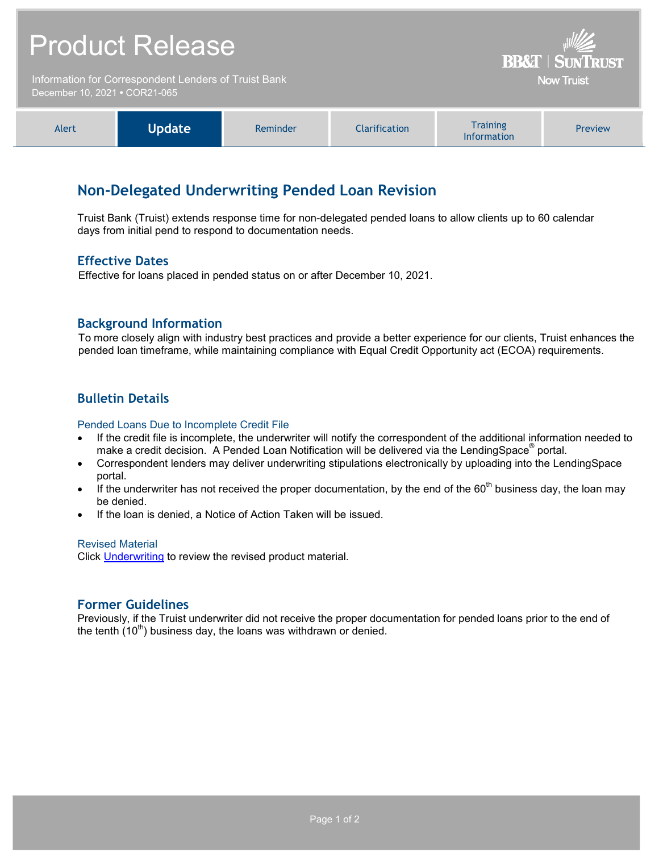|                                                                                       | <b>Product Release</b> | <b>BB&amp;T   SUNTRUST</b> |                      |                                       |                |
|---------------------------------------------------------------------------------------|------------------------|----------------------------|----------------------|---------------------------------------|----------------|
| Information for Correspondent Lenders of Truist Bank<br>December 10, 2021 . COR21-065 |                        |                            |                      | <b>Now Truist</b>                     |                |
| Alert                                                                                 | <b>Update</b>          | Reminder                   | <b>Clarification</b> | <b>Training</b><br><b>Information</b> | <b>Preview</b> |

# **Non-Delegated Underwriting Pended Loan Revision**

Truist Bank (Truist) extends response time for non-delegated pended loans to allow clients up to 60 calendar days from initial pend to respond to documentation needs.

## **Effective Dates**

Effective for loans placed in pended status on or after December 10, 2021.

## **Background Information**

To more closely align with industry best practices and provide a better experience for our clients, Truist enhances the pended loan timeframe, while maintaining compliance with Equal Credit Opportunity act (ECOA) requirements.

# **Bulletin Details**

#### Pended Loans Due to Incomplete Credit File

- If the credit file is incomplete, the underwriter will notify the correspondent of the additional information needed to make a credit decision. A Pended Loan Notification will be delivered via the LendingSpace<sup>®</sup> portal.
- Correspondent lenders may deliver underwriting stipulations electronically by uploading into the LendingSpace portal.
- If the underwriter has not received the proper documentation, by the end of the  $60<sup>th</sup>$  business day, the loan may be denied.
- If the loan is denied, a Notice of Action Taken will be issued.

#### Revised Material

Click [Underwriting](https://www.truistsellerguide.com/Manual/cor/general/1.05Underwriting.pdf) to review the revised product material.

## **Former Guidelines**

Previously, if the Truist underwriter did not receive the proper documentation for pended loans prior to the end of the tenth  $(10^{th})$  business day, the loans was withdrawn or denied.